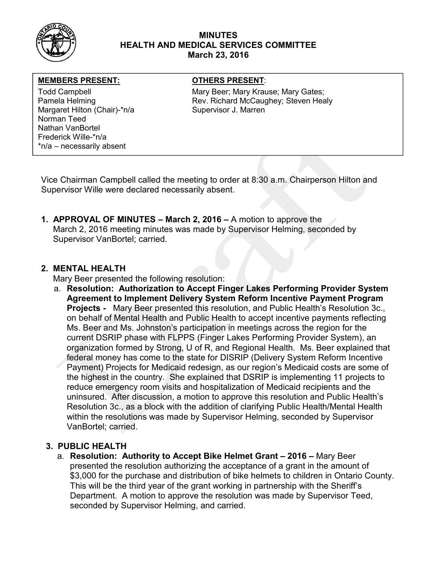

## MINUTES HEALTH AND MEDICAL SERVICES COMMITTEE March 23, 2016

## MEMBERS PRESENT: OTHERS PRESENT:

Margaret Hilton (Chair)-\*n/a Supervisor J. Marren Norman Teed Nathan VanBortel Frederick Wille-\*n/a \*n/a – necessarily absent

Todd Campbell **Mary Beer; Mary Krause; Mary Gates**; Mary Gates; Pamela Helming The Rev. Richard McCaughey; Steven Healy

Vice Chairman Campbell called the meeting to order at 8:30 a.m. Chairperson Hilton and Supervisor Wille were declared necessarily absent.

1. APPROVAL OF MINUTES – March 2, 2016 – A motion to approve the March 2, 2016 meeting minutes was made by Supervisor Helming, seconded by Supervisor VanBortel; carried.

## 2. MENTAL HEALTH

Mary Beer presented the following resolution:

a. Resolution: Authorization to Accept Finger Lakes Performing Provider System Agreement to Implement Delivery System Reform Incentive Payment Program **Projects -** Mary Beer presented this resolution, and Public Health's Resolution 3c., on behalf of Mental Health and Public Health to accept incentive payments reflecting Ms. Beer and Ms. Johnston's participation in meetings across the region for the current DSRIP phase with FLPPS (Finger Lakes Performing Provider System), an organization formed by Strong, U of R, and Regional Health. Ms. Beer explained that federal money has come to the state for DISRIP (Delivery System Reform Incentive Payment) Projects for Medicaid redesign, as our region's Medicaid costs are some of the highest in the country. She explained that DSRIP is implementing 11 projects to reduce emergency room visits and hospitalization of Medicaid recipients and the uninsured. After discussion, a motion to approve this resolution and Public Health's Resolution 3c., as a block with the addition of clarifying Public Health/Mental Health within the resolutions was made by Supervisor Helming, seconded by Supervisor VanBortel; carried.

# 3. PUBLIC HEALTH

a. Resolution: Authority to Accept Bike Helmet Grant – 2016 – Mary Beer presented the resolution authorizing the acceptance of a grant in the amount of \$3,000 for the purchase and distribution of bike helmets to children in Ontario County. This will be the third year of the grant working in partnership with the Sheriff's Department. A motion to approve the resolution was made by Supervisor Teed, seconded by Supervisor Helming, and carried.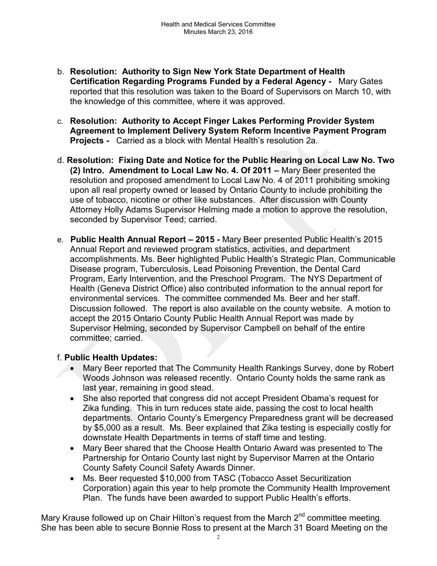- b. Resolution: Authority to Sign New York State Department of Health Certification Regarding Programs Funded by a Federal Agency - Mary Gates reported that this resolution was taken to the Board of Supervisors on March 10, with the knowledge of this committee, where it was approved.
- c. Resolution: Authority to Accept Finger Lakes Performing Provider System Agreement to Implement Delivery System Reform Incentive Payment Program Projects - Carried as a block with Mental Health's resolution 2a.
- d. Resolution: Fixing Date and Notice for the Public Hearing on Local Law No. Two (2) Intro. Amendment to Local Law No. 4. Of 2011 – Mary Beer presented the resolution and proposed amendment to Local Law No. 4 of 2011 prohibiting smoking upon all real property owned or leased by Ontario County to include prohibiting the use of tobacco, nicotine or other like substances. After discussion with County Attorney Holly Adams Supervisor Helming made a motion to approve the resolution, seconded by Supervisor Teed; carried.
- e. Public Health Annual Report 2015 Mary Beer presented Public Health's 2015 Annual Report and reviewed program statistics, activities, and department accomplishments. Ms. Beer highlighted Public Health's Strategic Plan, Communicable Disease program, Tuberculosis, Lead Poisoning Prevention, the Dental Card Program, Early Intervention, and the Preschool Program. The NYS Department of Health (Geneva District Office) also contributed information to the annual report for environmental services. The committee commended Ms. Beer and her staff. Discussion followed. The report is also available on the county website. A motion to accept the 2015 Ontario County Public Health Annual Report was made by Supervisor Helming, seconded by Supervisor Campbell on behalf of the entire committee; carried.

# f. Public Health Updates:

- Mary Beer reported that The Community Health Rankings Survey, done by Robert Woods Johnson was released recently. Ontario County holds the same rank as last year, remaining in good stead.
- She also reported that congress did not accept President Obama's request for Zika funding. This in turn reduces state aide, passing the cost to local health departments. Ontario County's Emergency Preparedness grant will be decreased by \$5,000 as a result. Ms. Beer explained that Zika testing is especially costly for downstate Health Departments in terms of staff time and testing.
- Mary Beer shared that the Choose Health Ontario Award was presented to The Partnership for Ontario County last night by Supervisor Marren at the Ontario County Safety Council Safety Awards Dinner.
- Ms. Beer requested \$10,000 from TASC (Tobacco Asset Securitization Corporation) again this year to help promote the Community Health Improvement Plan. The funds have been awarded to support Public Health's efforts.

Mary Krause followed up on Chair Hilton's request from the March  $2<sup>nd</sup>$  committee meeting. She has been able to secure Bonnie Ross to present at the March 31 Board Meeting on the